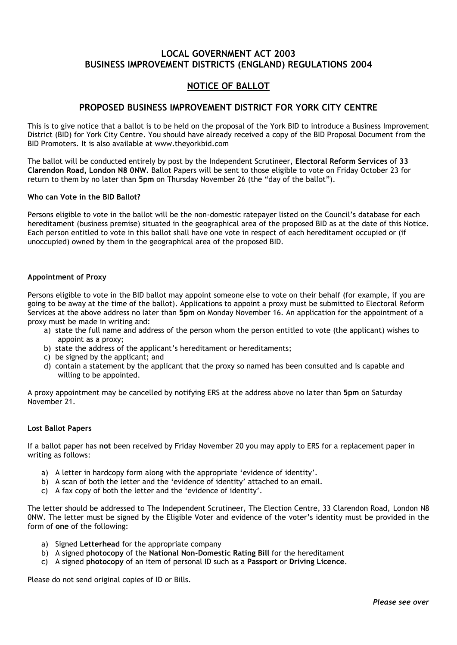## **LOCAL GOVERNMENT ACT 2003 BUSINESS IMPROVEMENT DISTRICTS (ENGLAND) REGULATIONS 2004**

# **NOTICE OF BALLOT**

## **PROPOSED BUSINESS IMPROVEMENT DISTRICT FOR YORK CITY CENTRE**

This is to give notice that a ballot is to be held on the proposal of the York BID to introduce a Business Improvement District (BID) for York City Centre. You should have already received a copy of the BID Proposal Document from the BID Promoters. It is also available at www.theyorkbid.com

The ballot will be conducted entirely by post by the Independent Scrutineer, **Electoral Reform Services** of **33 Clarendon Road, London N8 0NW.** Ballot Papers will be sent to those eligible to vote on Friday October 23 for return to them by no later than **5pm** on Thursday November 26 (the "day of the ballot").

#### **Who can Vote in the BID Ballot?**

Persons eligible to vote in the ballot will be the non-domestic ratepayer listed on the Council"s database for each hereditament (business premise) situated in the geographical area of the proposed BID as at the date of this Notice. Each person entitled to vote in this ballot shall have one vote in respect of each hereditament occupied or (if unoccupied) owned by them in the geographical area of the proposed BID.

### **Appointment of Proxy**

Persons eligible to vote in the BID ballot may appoint someone else to vote on their behalf (for example, if you are going to be away at the time of the ballot). Applications to appoint a proxy must be submitted to Electoral Reform Services at the above address no later than **5pm** on Monday November 16. An application for the appointment of a proxy must be made in writing and:

- a) state the full name and address of the person whom the person entitled to vote (the applicant) wishes to appoint as a proxy;
- b) state the address of the applicant's hereditament or hereditaments;
- c) be signed by the applicant; and
- d) contain a statement by the applicant that the proxy so named has been consulted and is capable and willing to be appointed.

A proxy appointment may be cancelled by notifying ERS at the address above no later than **5pm** on Saturday November 21.

#### **Lost Ballot Papers**

If a ballot paper has **not** been received by Friday November 20 you may apply to ERS for a replacement paper in writing as follows:

- a) A letter in hardcopy form along with the appropriate 'evidence of identity'.
- b) A scan of both the letter and the "evidence of identity" attached to an email.
- c) A fax copy of both the letter and the "evidence of identity".

The letter should be addressed to The Independent Scrutineer, The Election Centre, 33 Clarendon Road, London N8 0NW. The letter must be signed by the Eligible Voter and evidence of the voter"s identity must be provided in the form of **one** of the following:

- a) Signed **Letterhead** for the appropriate company
- b) A signed **photocopy** of the **National Non-Domestic Rating Bill** for the hereditament
- c) A signed **photocopy** of an item of personal ID such as a **Passport** or **Driving Licence**.

Please do not send original copies of ID or Bills.